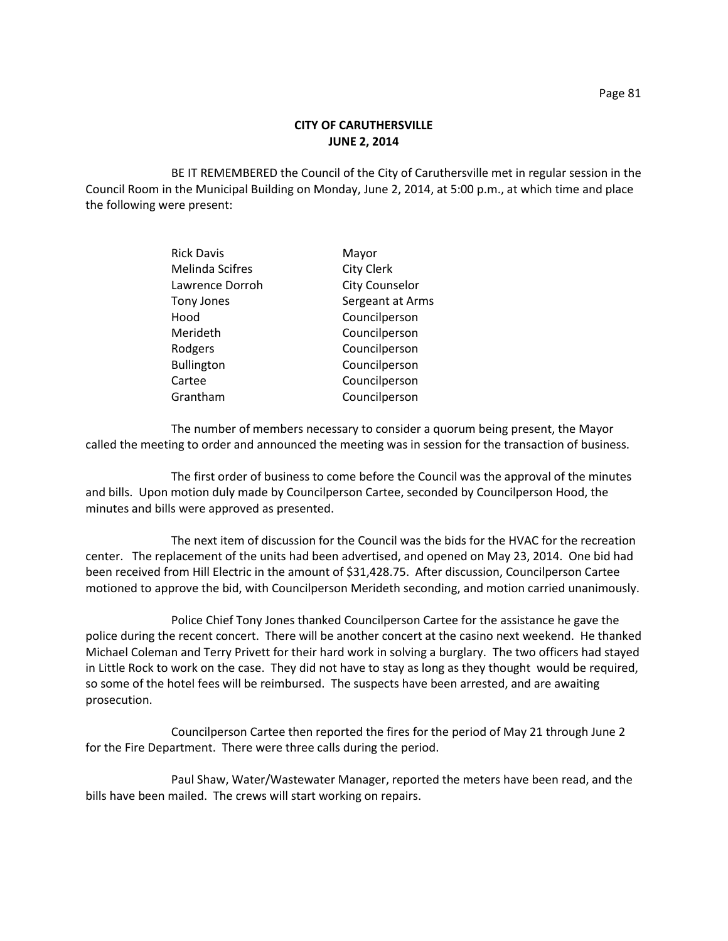## **CITY OF CARUTHERSVILLE JUNE 2, 2014**

BE IT REMEMBERED the Council of the City of Caruthersville met in regular session in the Council Room in the Municipal Building on Monday, June 2, 2014, at 5:00 p.m., at which time and place the following were present:

| <b>Rick Davis</b>      | Mayor                 |
|------------------------|-----------------------|
| <b>Melinda Scifres</b> | <b>City Clerk</b>     |
| Lawrence Dorroh        | <b>City Counselor</b> |
| Tony Jones             | Sergeant at Arms      |
| Hood                   | Councilperson         |
| Merideth               | Councilperson         |
| Rodgers                | Councilperson         |
| <b>Bullington</b>      | Councilperson         |
| Cartee                 | Councilperson         |
| Grantham               | Councilperson         |

The number of members necessary to consider a quorum being present, the Mayor called the meeting to order and announced the meeting was in session for the transaction of business.

The first order of business to come before the Council was the approval of the minutes and bills. Upon motion duly made by Councilperson Cartee, seconded by Councilperson Hood, the minutes and bills were approved as presented.

The next item of discussion for the Council was the bids for the HVAC for the recreation center. The replacement of the units had been advertised, and opened on May 23, 2014. One bid had been received from Hill Electric in the amount of \$31,428.75. After discussion, Councilperson Cartee motioned to approve the bid, with Councilperson Merideth seconding, and motion carried unanimously.

Police Chief Tony Jones thanked Councilperson Cartee for the assistance he gave the police during the recent concert. There will be another concert at the casino next weekend. He thanked Michael Coleman and Terry Privett for their hard work in solving a burglary. The two officers had stayed in Little Rock to work on the case. They did not have to stay as long as they thought would be required, so some of the hotel fees will be reimbursed. The suspects have been arrested, and are awaiting prosecution.

Councilperson Cartee then reported the fires for the period of May 21 through June 2 for the Fire Department. There were three calls during the period.

Paul Shaw, Water/Wastewater Manager, reported the meters have been read, and the bills have been mailed. The crews will start working on repairs.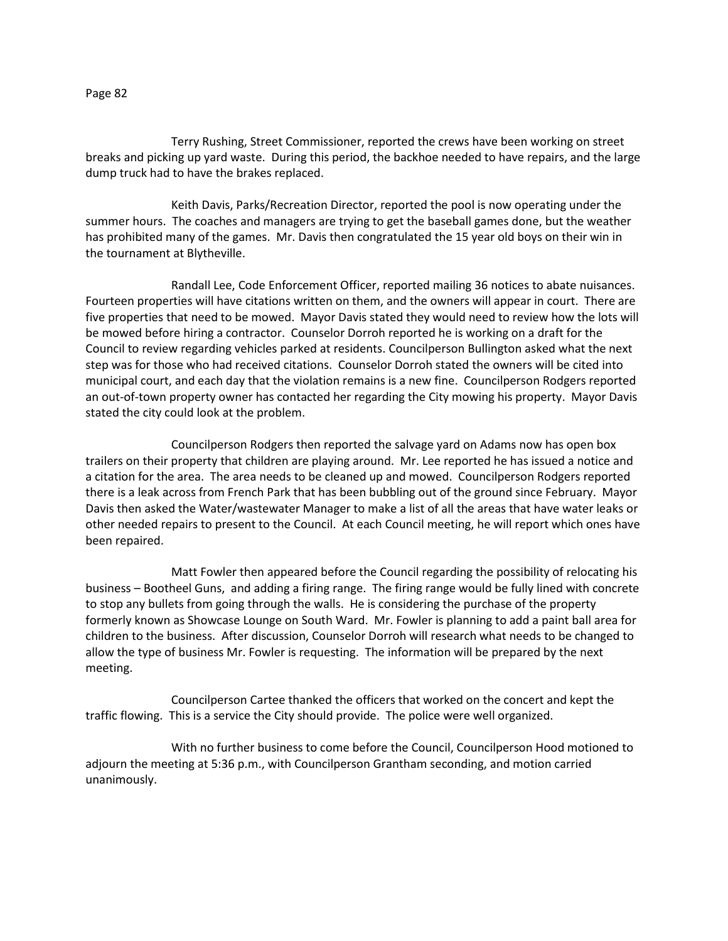Page 82

Terry Rushing, Street Commissioner, reported the crews have been working on street breaks and picking up yard waste. During this period, the backhoe needed to have repairs, and the large dump truck had to have the brakes replaced.

Keith Davis, Parks/Recreation Director, reported the pool is now operating under the summer hours. The coaches and managers are trying to get the baseball games done, but the weather has prohibited many of the games. Mr. Davis then congratulated the 15 year old boys on their win in the tournament at Blytheville.

Randall Lee, Code Enforcement Officer, reported mailing 36 notices to abate nuisances. Fourteen properties will have citations written on them, and the owners will appear in court. There are five properties that need to be mowed. Mayor Davis stated they would need to review how the lots will be mowed before hiring a contractor. Counselor Dorroh reported he is working on a draft for the Council to review regarding vehicles parked at residents. Councilperson Bullington asked what the next step was for those who had received citations. Counselor Dorroh stated the owners will be cited into municipal court, and each day that the violation remains is a new fine. Councilperson Rodgers reported an out-of-town property owner has contacted her regarding the City mowing his property. Mayor Davis stated the city could look at the problem.

Councilperson Rodgers then reported the salvage yard on Adams now has open box trailers on their property that children are playing around. Mr. Lee reported he has issued a notice and a citation for the area. The area needs to be cleaned up and mowed. Councilperson Rodgers reported there is a leak across from French Park that has been bubbling out of the ground since February. Mayor Davis then asked the Water/wastewater Manager to make a list of all the areas that have water leaks or other needed repairs to present to the Council. At each Council meeting, he will report which ones have been repaired.

Matt Fowler then appeared before the Council regarding the possibility of relocating his business – Bootheel Guns, and adding a firing range. The firing range would be fully lined with concrete to stop any bullets from going through the walls. He is considering the purchase of the property formerly known as Showcase Lounge on South Ward. Mr. Fowler is planning to add a paint ball area for children to the business. After discussion, Counselor Dorroh will research what needs to be changed to allow the type of business Mr. Fowler is requesting. The information will be prepared by the next meeting.

Councilperson Cartee thanked the officers that worked on the concert and kept the traffic flowing. This is a service the City should provide. The police were well organized.

With no further business to come before the Council, Councilperson Hood motioned to adjourn the meeting at 5:36 p.m., with Councilperson Grantham seconding, and motion carried unanimously.